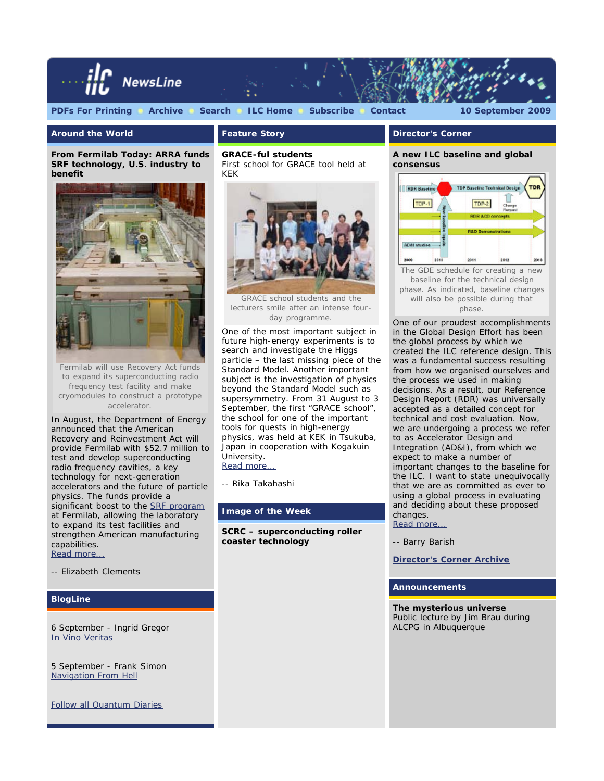

**Around the World**

**Feature Story**

*From Fermilab Today:* **ARRA funds SRF technology, U.S. industry to benefit**



Fermilab will use Recovery Act funds to expand its superconducting radio frequency test facility and make cryomodules to construct a prototype accelerator.

In August, the Department of Energy announced that the American Recovery and Reinvestment Act will provide Fermilab with \$52.7 million to test and develop superconducting radio frequency cavities, a key technology for next-generation accelerators and the future of particle physics. The funds provide a significant boost to the **SRF** program at Fermilab, allowing the laboratory to expand its test facilities and strengthen American manufacturing capabilities.

[Read more...](http://www.fnal.gov/pub/today/archive_2009/today09-09-04.html)

*-- Elizabeth Clements*

#### **BlogLine**

6 September - *Ingrid Gregor* [In Vino Veritas](http://www.quantumdiaries.org/2009/09/06/in-vino-veritas/)

5 September - *Frank Simon* [Navigation From Hell](http://www.quantumdiaries.org/2009/09/05/navigation-from-hell/)

[Follow all Quantum Diaries](http://www.quantumdiaries.org/)

# **GRACE-ful students**

*First school for GRACE tool held at KEK*



GRACE school students and the lecturers smile after an intense fourday programme.

One of the most important subject in future high-energy experiments is to search and investigate the Higgs particle – the last missing piece of the Standard Model. Another important subject is the investigation of physics beyond the Standard Model such as supersymmetry. From 31 August to 3 September, the first "GRACE school", the school for one of the important tools for quests in high-energy physics, was held at KEK in Tsukuba, Japan in cooperation with Kogakuin University. [Read more...](http://www.linearcollider.org/newsline/readmore_20090910_ftr1.html)

*-- Rika Takahashi*

#### **Image of the Week**

**SCRC – superconducting roller coaster technology**

#### **Director's Corner**

**A new ILC baseline and global consensus**



baseline for the technical design phase. As indicated, baseline changes will also be possible during that phase.

One of our proudest accomplishments in the Global Design Effort has been the global process by which we created the ILC reference design. This was a fundamental success resulting from how we organised ourselves and the process we used in making decisions. As a result, our *Reference Design Report* (RDR) was universally accepted as a detailed concept for technical and cost evaluation. Now, we are undergoing a process we refer to as Accelerator Design and Integration (AD&I), from which we expect to make a number of important changes to the baseline for the ILC. I want to state unequivocally that we are as committed as ever to using a global process in evaluating and deciding about these proposed changes. [Read more...](http://www.linearcollider.org/cms/?pid=1000667)

*-- Barry Barish*

**[Director's Corner Archive](http://www.linearcollider.org/cms/?pid=1000026)**

#### **Announcements**

**The mysterious universe** *Public lecture by Jim Brau during ALCPG in Albuquerque*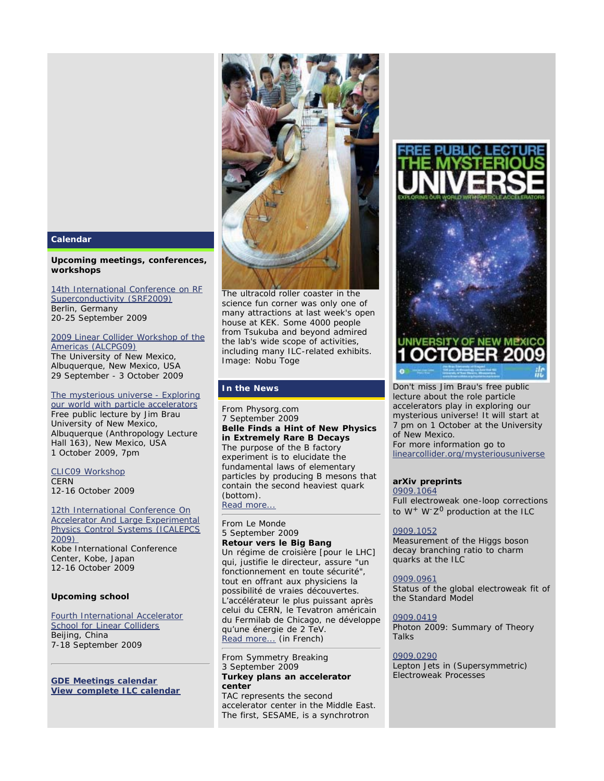

#### **Upcoming meetings, conferences, workshops**

#### [14th International Conference on RF](http://www.helmholtz-berlin.de/events/srf2009/) [Superconductivity \(SRF2009\)](http://www.helmholtz-berlin.de/events/srf2009/) Berlin, Germany 20-25 September 2009

#### [2009 Linear Collider Workshop of the](http://panda.unm.edu/LCWA09/) [Americas \(ALCPG09\)](http://panda.unm.edu/LCWA09/)

The University of New Mexico, Albuquerque, New Mexico, USA 29 September - 3 October 2009

## [The mysterious universe - Exploring](http://www.linearcollider.org/cms/?pid=1000665)

[our world with particle accelerators](http://www.linearcollider.org/cms/?pid=1000665) *Free public lecture by Jim Brau* University of New Mexico, Albuquerque (Anthropology Lecture Hall 163), New Mexico, USA 1 October 2009, 7pm

## [CLIC09 Workshop](http://indico.cern.ch/conferenceDisplay.py?confId=45580) **CERN**

12-16 October 2009

[12th International Conference On](http://icalepcs2009.spring8.or.jp/) **[Accelerator And Large Experimental](http://icalepcs2009.spring8.or.jp/)** [Physics Control Systems \(ICALEPCS](http://icalepcs2009.spring8.or.jp/) [2009\)](http://icalepcs2009.spring8.or.jp/)  Kobe International Conference Center, Kobe, Japan 12-16 October 2009

# **Upcoming school**

#### [Fourth International Accelerator](http://www.linearcollider.org/cms/?pid=1000620) **[School for Linear Colliders](http://www.linearcollider.org/cms/?pid=1000620)** Beijing, China 7-18 September 2009

**[GDE Meetings calendar](http://ilcagenda.cern.ch/wcalendar.py?selCateg=0) [View complete ILC calendar](http://www.linearcollider.org/cms/?pid=1000012)**



[The ultracold roller coaster in the](http://www.linearcollider.org/newsline/images/2009/20090910_iotw.jpg) science fun corner was only one of many attractions at last week's open house at KEK. Some 4000 people from Tsukuba and beyond admired the lab's wide scope of activities, including many ILC-related exhibits. Image: Nobu Toge

# **In the News**

From *Physorg.com* 7 September 2009 **Belle Finds a Hint of New Physics in Extremely Rare B Decays** The purpose of the B factory experiment is to elucidate the fundamental laws of elementary particles by producing B mesons that contain the second heaviest quark (bottom). [Read more...](http://www.physorg.com/news171567213.html)

## From *Le Monde* 5 September 2009

### **Retour vers le Big Bang** Un régime de croisière [pour le LHC] qui, justifie le directeur, assure "un fonctionnement en toute sécurité",

tout en offrant aux physiciens la possibilité de vraies découvertes. L'accélérateur le plus puissant après celui du CERN, le Tevatron américain du Fermilab de Chicago, ne développe qu'une énergie de 2 TeV. [Read more...](http://www.lemonde.fr/planete/article/2009/09/04/retour-vers-le-big-bang_1235862_3244.html#ens_id=1235947) (in French)

#### From *Symmetry Breaking* 3 September 2009 **Turkey plans an accelerator center**

TAC represents the second accelerator center in the Middle East. The first, SESAME, is a synchrotron



Don't miss Jim Brau's free public lecture about the role particle accelerators play in exploring our mysterious universe! It will start at 7 pm on 1 October at the University of New Mexico. For more information go to

[linearcollider.org/mysteriousuniverse](http://www.linearcollider.org/cms/?pid=1000665)

# **arXiv preprints**

[0909.1064](http://arxiv.org/abs/0909.1064) Full electroweak one-loop corrections to *W+ W-Z0* production at the ILC

# [0909.1052](http://arxiv.org/abs/0909.1052)

Measurement of the Higgs boson decay branching ratio to charm quarks at the ILC

# [0909.0961](http://arxiv.org/abs/0909.0961)

Status of the global electroweak fit of the Standard Model

# [0909.0419](http://arxiv.org/abs/0909.0419)

Photon 2009: Summary of Theory Talks

# [0909.0290](http://arxiv.org/abs/0909.0290)

Lepton Jets in (Supersymmetric) Electroweak Processes